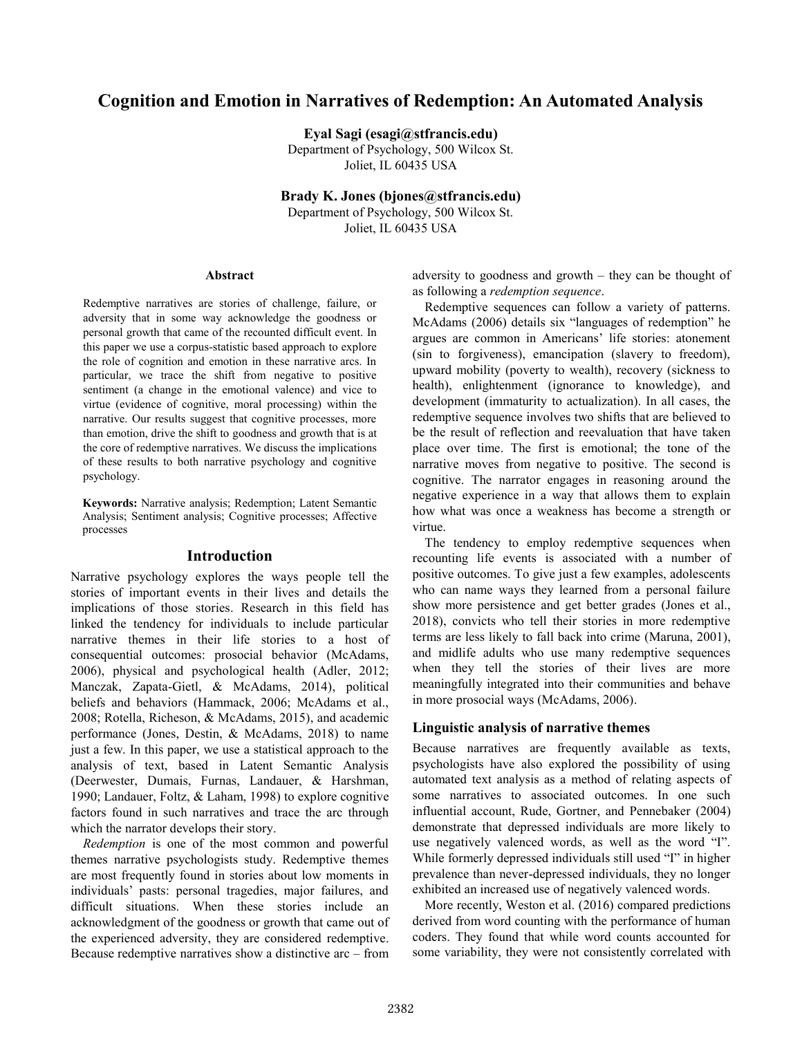# **Cognition and Emotion in Narratives of Redemption: An Automated Analysis**

**Eyal Sagi (esagi@stfrancis.edu)**

Department of Psychology, 500 Wilcox St. Joliet, IL 60435 USA

**Brady K. Jones (bjones@stfrancis.edu)**

Department of Psychology, 500 Wilcox St. Joliet, IL 60435 USA

#### **Abstract**

Redemptive narratives are stories of challenge, failure, or adversity that in some way acknowledge the goodness or personal growth that came of the recounted difficult event. In this paper we use a corpus-statistic based approach to explore the role of cognition and emotion in these narrative arcs. In particular, we trace the shift from negative to positive sentiment (a change in the emotional valence) and vice to virtue (evidence of cognitive, moral processing) within the narrative. Our results suggest that cognitive processes, more than emotion, drive the shift to goodness and growth that is at the core of redemptive narratives. We discuss the implications of these results to both narrative psychology and cognitive psychology.

**Keywords:** Narrative analysis; Redemption; Latent Semantic Analysis; Sentiment analysis; Cognitive processes; Affective processes

#### **Introduction**

Narrative psychology explores the ways people tell the stories of important events in their lives and details the implications of those stories. Research in this field has linked the tendency for individuals to include particular narrative themes in their life stories to a host of consequential outcomes: prosocial behavior (McAdams, 2006), physical and psychological health (Adler, 2012; Manczak, Zapata-Gietl, & McAdams, 2014), political beliefs and behaviors (Hammack, 2006; McAdams et al., 2008; Rotella, Richeson, & McAdams, 2015), and academic performance (Jones, Destin, & McAdams, 2018) to name just a few. In this paper, we use a statistical approach to the analysis of text, based in Latent Semantic Analysis (Deerwester, Dumais, Furnas, Landauer, & Harshman, 1990; Landauer, Foltz, & Laham, 1998) to explore cognitive factors found in such narratives and trace the arc through which the narrator develops their story.

*Redemption* is one of the most common and powerful themes narrative psychologists study. Redemptive themes are most frequently found in stories about low moments in individuals' pasts: personal tragedies, major failures, and difficult situations. When these stories include an acknowledgment of the goodness or growth that came out of the experienced adversity, they are considered redemptive. Because redemptive narratives show a distinctive arc – from

adversity to goodness and growth – they can be thought of as following a *redemption sequence*.

Redemptive sequences can follow a variety of patterns. McAdams (2006) details six "languages of redemption" he argues are common in Americans' life stories: atonement (sin to forgiveness), emancipation (slavery to freedom), upward mobility (poverty to wealth), recovery (sickness to health), enlightenment (ignorance to knowledge), and development (immaturity to actualization). In all cases, the redemptive sequence involves two shifts that are believed to be the result of reflection and reevaluation that have taken place over time. The first is emotional; the tone of the narrative moves from negative to positive. The second is cognitive. The narrator engages in reasoning around the negative experience in a way that allows them to explain how what was once a weakness has become a strength or virtue.

The tendency to employ redemptive sequences when recounting life events is associated with a number of positive outcomes. To give just a few examples, adolescents who can name ways they learned from a personal failure show more persistence and get better grades (Jones et al., 2018), convicts who tell their stories in more redemptive terms are less likely to fall back into crime (Maruna, 2001), and midlife adults who use many redemptive sequences when they tell the stories of their lives are more meaningfully integrated into their communities and behave in more prosocial ways (McAdams, 2006).

#### **Linguistic analysis of narrative themes**

Because narratives are frequently available as texts, psychologists have also explored the possibility of using automated text analysis as a method of relating aspects of some narratives to associated outcomes. In one such influential account, Rude, Gortner, and Pennebaker (2004) demonstrate that depressed individuals are more likely to use negatively valenced words, as well as the word "I". While formerly depressed individuals still used "I" in higher prevalence than never-depressed individuals, they no longer exhibited an increased use of negatively valenced words.

More recently, Weston et al. (2016) compared predictions derived from word counting with the performance of human coders. They found that while word counts accounted for some variability, they were not consistently correlated with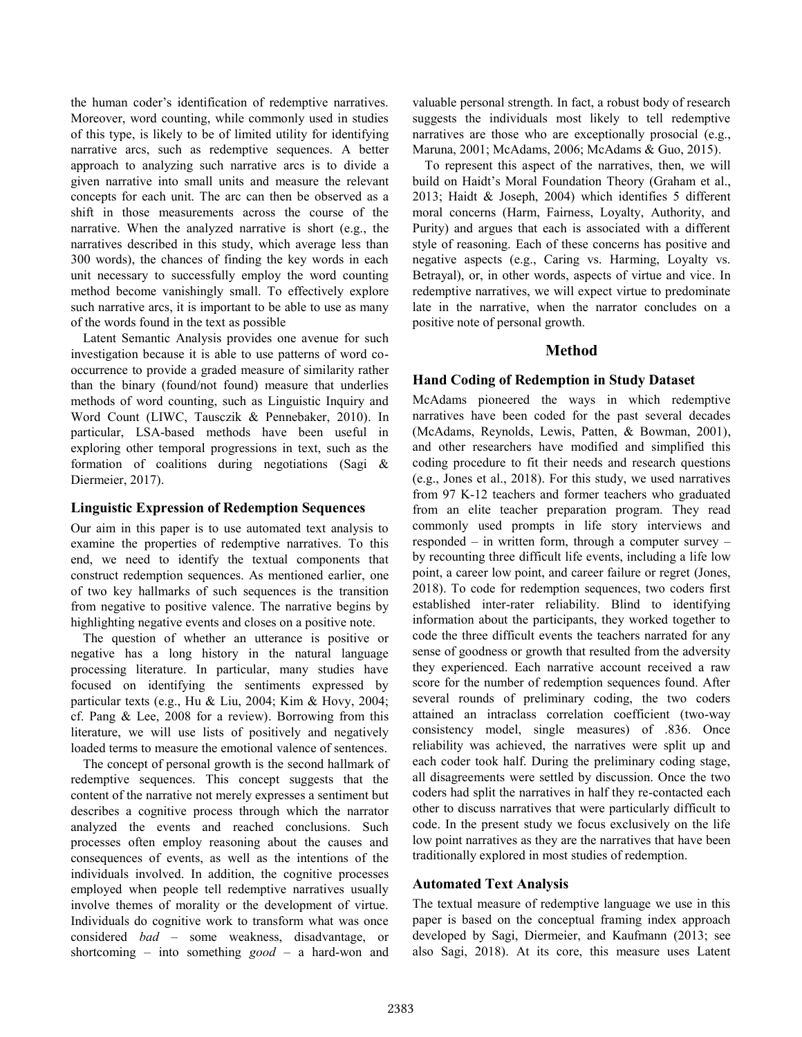the human coder's identification of redemptive narratives. Moreover, word counting, while commonly used in studies of this type, is likely to be of limited utility for identifying narrative arcs, such as redemptive sequences. A better approach to analyzing such narrative arcs is to divide a given narrative into small units and measure the relevant concepts for each unit. The arc can then be observed as a shift in those measurements across the course of the narrative. When the analyzed narrative is short (e.g., the narratives described in this study, which average less than 300 words), the chances of finding the key words in each unit necessary to successfully employ the word counting method become vanishingly small. To effectively explore such narrative arcs, it is important to be able to use as many of the words found in the text as possible

Latent Semantic Analysis provides one avenue for such investigation because it is able to use patterns of word cooccurrence to provide a graded measure of similarity rather than the binary (found/not found) measure that underlies methods of word counting, such as Linguistic Inquiry and Word Count (LIWC, Tausczik & Pennebaker, 2010). In particular, LSA-based methods have been useful in exploring other temporal progressions in text, such as the formation of coalitions during negotiations (Sagi & Diermeier, 2017).

### **Linguistic Expression of Redemption Sequences**

Our aim in this paper is to use automated text analysis to examine the properties of redemptive narratives. To this end, we need to identify the textual components that construct redemption sequences. As mentioned earlier, one of two key hallmarks of such sequences is the transition from negative to positive valence. The narrative begins by highlighting negative events and closes on a positive note.

The question of whether an utterance is positive or negative has a long history in the natural language processing literature. In particular, many studies have focused on identifying the sentiments expressed by particular texts (e.g., Hu & Liu, 2004; Kim & Hovy, 2004; cf. Pang & Lee, 2008 for a review). Borrowing from this literature, we will use lists of positively and negatively loaded terms to measure the emotional valence of sentences.

The concept of personal growth is the second hallmark of redemptive sequences. This concept suggests that the content of the narrative not merely expresses a sentiment but describes a cognitive process through which the narrator analyzed the events and reached conclusions. Such processes often employ reasoning about the causes and consequences of events, as well as the intentions of the individuals involved. In addition, the cognitive processes employed when people tell redemptive narratives usually involve themes of morality or the development of virtue. Individuals do cognitive work to transform what was once considered *bad* – some weakness, disadvantage, or shortcoming – into something *good* – a hard-won and

valuable personal strength. In fact, a robust body of research suggests the individuals most likely to tell redemptive narratives are those who are exceptionally prosocial (e.g., Maruna, 2001; McAdams, 2006; McAdams & Guo, 2015).

To represent this aspect of the narratives, then, we will build on Haidt's Moral Foundation Theory (Graham et al., 2013; Haidt & Joseph, 2004) which identifies 5 different moral concerns (Harm, Fairness, Loyalty, Authority, and Purity) and argues that each is associated with a different style of reasoning. Each of these concerns has positive and negative aspects (e.g., Caring vs. Harming, Loyalty vs. Betrayal), or, in other words, aspects of virtue and vice. In redemptive narratives, we will expect virtue to predominate late in the narrative, when the narrator concludes on a positive note of personal growth.

## **Method**

### **Hand Coding of Redemption in Study Dataset**

McAdams pioneered the ways in which redemptive narratives have been coded for the past several decades (McAdams, Reynolds, Lewis, Patten, & Bowman, 2001), and other researchers have modified and simplified this coding procedure to fit their needs and research questions (e.g., Jones et al., 2018). For this study, we used narratives from 97 K-12 teachers and former teachers who graduated from an elite teacher preparation program. They read commonly used prompts in life story interviews and responded – in written form, through a computer survey – by recounting three difficult life events, including a life low point, a career low point, and career failure or regret (Jones, 2018). To code for redemption sequences, two coders first established inter-rater reliability. Blind to identifying information about the participants, they worked together to code the three difficult events the teachers narrated for any sense of goodness or growth that resulted from the adversity they experienced. Each narrative account received a raw score for the number of redemption sequences found. After several rounds of preliminary coding, the two coders attained an intraclass correlation coefficient (two-way consistency model, single measures) of .836. Once reliability was achieved, the narratives were split up and each coder took half. During the preliminary coding stage, all disagreements were settled by discussion. Once the two coders had split the narratives in half they re-contacted each other to discuss narratives that were particularly difficult to code. In the present study we focus exclusively on the life low point narratives as they are the narratives that have been traditionally explored in most studies of redemption.

### **Automated Text Analysis**

The textual measure of redemptive language we use in this paper is based on the conceptual framing index approach developed by Sagi, Diermeier, and Kaufmann (2013; see also Sagi, 2018). At its core, this measure uses Latent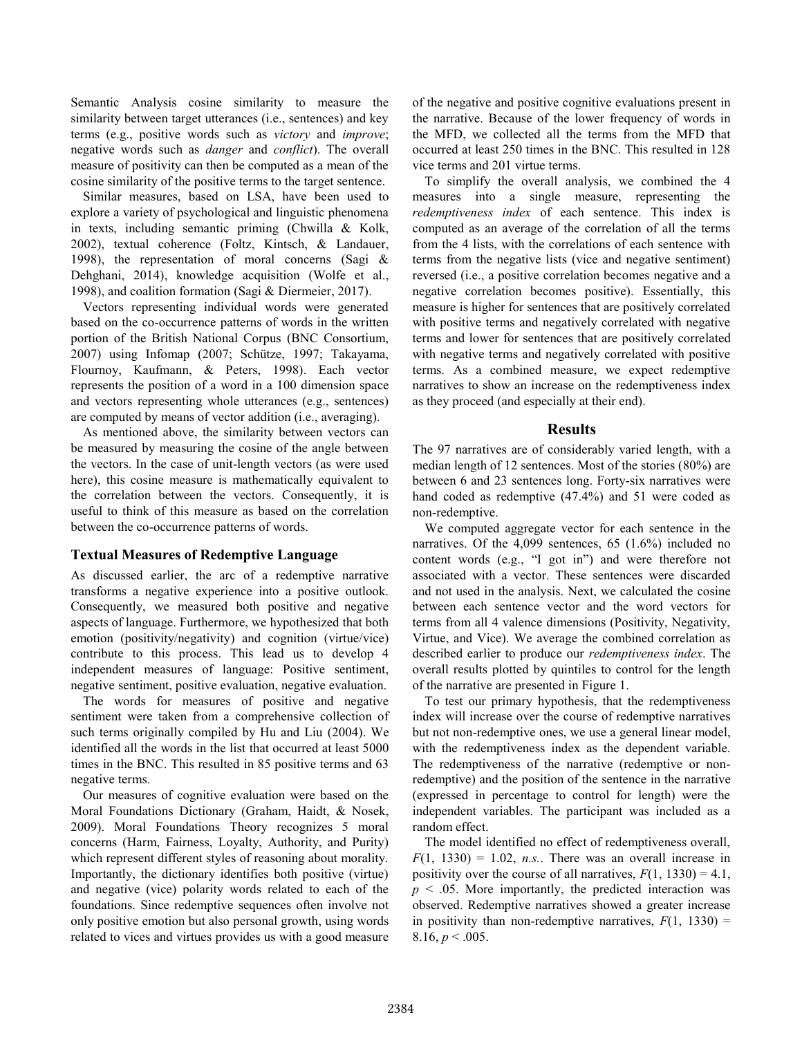Semantic Analysis cosine similarity to measure the similarity between target utterances (i.e., sentences) and key terms (e.g., positive words such as *victory* and *improve*; negative words such as *danger* and *conflict*). The overall measure of positivity can then be computed as a mean of the cosine similarity of the positive terms to the target sentence.

Similar measures, based on LSA, have been used to explore a variety of psychological and linguistic phenomena in texts, including semantic priming (Chwilla & Kolk, 2002), textual coherence (Foltz, Kintsch, & Landauer, 1998), the representation of moral concerns (Sagi & Dehghani, 2014), knowledge acquisition (Wolfe et al., 1998), and coalition formation (Sagi & Diermeier, 2017).

Vectors representing individual words were generated based on the co-occurrence patterns of words in the written portion of the British National Corpus (BNC Consortium, 2007) using Infomap (2007; Schütze, 1997; Takayama, Flournoy, Kaufmann, & Peters, 1998). Each vector represents the position of a word in a 100 dimension space and vectors representing whole utterances (e.g., sentences) are computed by means of vector addition (i.e., averaging).

As mentioned above, the similarity between vectors can be measured by measuring the cosine of the angle between the vectors. In the case of unit-length vectors (as were used here), this cosine measure is mathematically equivalent to the correlation between the vectors. Consequently, it is useful to think of this measure as based on the correlation between the co-occurrence patterns of words.

#### **Textual Measures of Redemptive Language**

As discussed earlier, the arc of a redemptive narrative transforms a negative experience into a positive outlook. Consequently, we measured both positive and negative aspects of language. Furthermore, we hypothesized that both emotion (positivity/negativity) and cognition (virtue/vice) contribute to this process. This lead us to develop 4 independent measures of language: Positive sentiment, negative sentiment, positive evaluation, negative evaluation.

The words for measures of positive and negative sentiment were taken from a comprehensive collection of such terms originally compiled by Hu and Liu (2004). We identified all the words in the list that occurred at least 5000 times in the BNC. This resulted in 85 positive terms and 63 negative terms.

Our measures of cognitive evaluation were based on the Moral Foundations Dictionary (Graham, Haidt, & Nosek, 2009). Moral Foundations Theory recognizes 5 moral concerns (Harm, Fairness, Loyalty, Authority, and Purity) which represent different styles of reasoning about morality. Importantly, the dictionary identifies both positive (virtue) and negative (vice) polarity words related to each of the foundations. Since redemptive sequences often involve not only positive emotion but also personal growth, using words related to vices and virtues provides us with a good measure of the negative and positive cognitive evaluations present in the narrative. Because of the lower frequency of words in the MFD, we collected all the terms from the MFD that occurred at least 250 times in the BNC. This resulted in 128 vice terms and 201 virtue terms.

To simplify the overall analysis, we combined the 4 measures into a single measure, representing the *redemptiveness index* of each sentence. This index is computed as an average of the correlation of all the terms from the 4 lists, with the correlations of each sentence with terms from the negative lists (vice and negative sentiment) reversed (i.e., a positive correlation becomes negative and a negative correlation becomes positive). Essentially, this measure is higher for sentences that are positively correlated with positive terms and negatively correlated with negative terms and lower for sentences that are positively correlated with negative terms and negatively correlated with positive terms. As a combined measure, we expect redemptive narratives to show an increase on the redemptiveness index as they proceed (and especially at their end).

#### **Results**

The 97 narratives are of considerably varied length, with a median length of 12 sentences. Most of the stories (80%) are between 6 and 23 sentences long. Forty-six narratives were hand coded as redemptive (47.4%) and 51 were coded as non-redemptive.

We computed aggregate vector for each sentence in the narratives. Of the 4,099 sentences, 65 (1.6%) included no content words (e.g., "I got in") and were therefore not associated with a vector. These sentences were discarded and not used in the analysis. Next, we calculated the cosine between each sentence vector and the word vectors for terms from all 4 valence dimensions (Positivity, Negativity, Virtue, and Vice). We average the combined correlation as described earlier to produce our *redemptiveness index*. The overall results plotted by quintiles to control for the length of the narrative are presented in [Figure 1.](#page-3-0)

To test our primary hypothesis, that the redemptiveness index will increase over the course of redemptive narratives but not non-redemptive ones, we use a general linear model, with the redemptiveness index as the dependent variable. The redemptiveness of the narrative (redemptive or nonredemptive) and the position of the sentence in the narrative (expressed in percentage to control for length) were the independent variables. The participant was included as a random effect.

The model identified no effect of redemptiveness overall,  $F(1, 1330) = 1.02$ , *n.s.*. There was an overall increase in positivity over the course of all narratives,  $F(1, 1330) = 4.1$ ,  $p \leq 0.05$ . More importantly, the predicted interaction was observed. Redemptive narratives showed a greater increase in positivity than non-redemptive narratives,  $F(1, 1330) =$ 8.16,  $p < .005$ .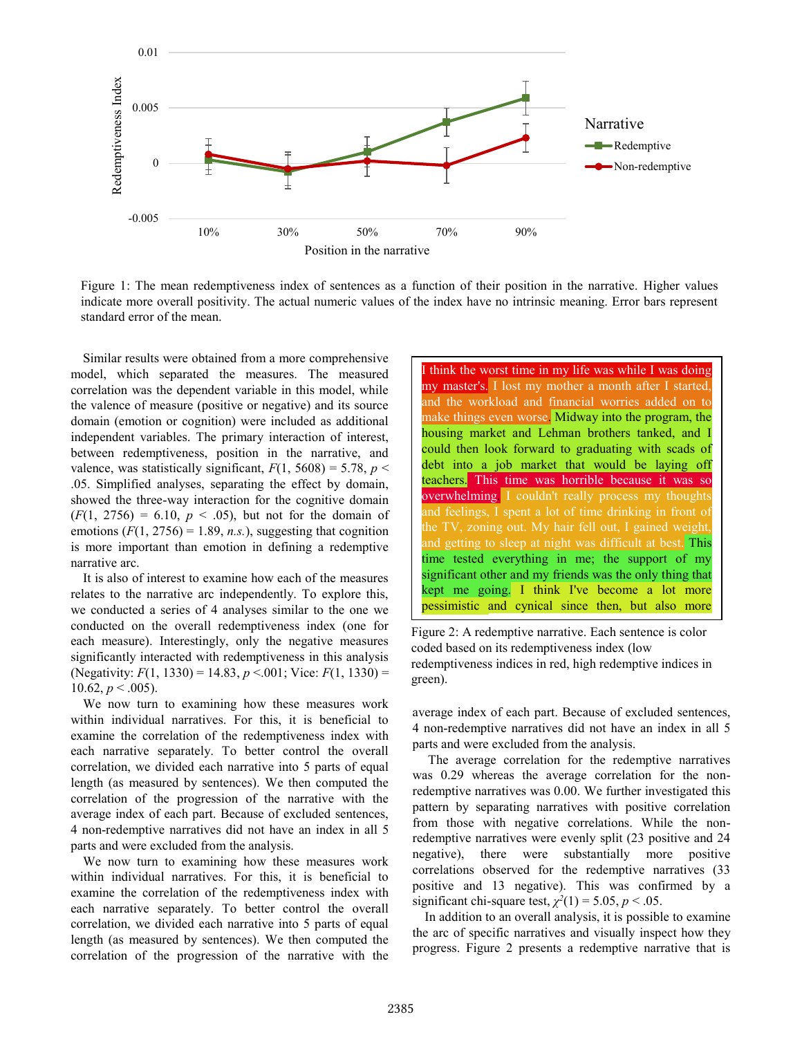

<span id="page-3-0"></span>Figure 1: The mean redemptiveness index of sentences as a function of their position in the narrative. Higher values indicate more overall positivity. The actual numeric values of the index have no intrinsic meaning. Error bars represent standard error of the mean.

Similar results were obtained from a more comprehensive model, which separated the measures. The measured correlation was the dependent variable in this model, while the valence of measure (positive or negative) and its source domain (emotion or cognition) were included as additional independent variables. The primary interaction of interest, between redemptiveness, position in the narrative, and valence, was statistically significant,  $F(1, 5608) = 5.78$ ,  $p <$ .05. Simplified analyses, separating the effect by domain, showed the three-way interaction for the cognitive domain  $(F(1, 2756) = 6.10, p < .05)$ , but not for the domain of emotions  $(F(1, 2756) = 1.89, n.s.)$ , suggesting that cognition is more important than emotion in defining a redemptive narrative arc.

It is also of interest to examine how each of the measures relates to the narrative arc independently. To explore this, we conducted a series of 4 analyses similar to the one we conducted on the overall redemptiveness index (one for each measure). Interestingly, only the negative measures significantly interacted with redemptiveness in this analysis (Negativity: *F*(1, 1330) = 14.83, *p* <.001; Vice: *F*(1, 1330) = 10.62,  $p < .005$ ).

We now turn to examining how these measures work within individual narratives. For this, it is beneficial to examine the correlation of the redemptiveness index with each narrative separately. To better control the overall correlation, we divided each narrative into 5 parts of equal length (as measured by sentences). We then computed the correlation of the progression of the narrative with the average index of each part. Because of excluded sentences, 4 non-redemptive narratives did not have an index in all 5 parts and were excluded from the analysis.

We now turn to examining how these measures work within individual narratives. For this, it is beneficial to examine the correlation of the redemptiveness index with each narrative separately. To better control the overall correlation, we divided each narrative into 5 parts of equal length (as measured by sentences). We then computed the correlation of the progression of the narrative with the

I think the worst time in my life was while I was doing my master's. I lost my mother a month after I started, and the workload and financial worries added on to make things even worse. Midway into the program, the housing market and Lehman brothers tanked, and I could then look forward to graduating with scads of debt into a job market that would be laying off teachers. This time was horrible because it was so overwhelming. I couldn't really process my thoughts the TV, zoning out. My hair fell out, I gained weight, and getting to sleep at night was difficult at best. This time tested everything in me; the support of my significant other and my friends was the only thing that kept me going. I think I've become a lot more pessimistic and cynical since then, but also more

<span id="page-3-1"></span><u>appreciative</u> Figure 2: A redemptive narrative. Each sentence is color coded based on its redemptiveness index (low redemptiveness indices in red, high redemptive indices in green).

average index of each part. Because of excluded sentences, 4 non-redemptive narratives did not have an index in all 5 parts and were excluded from the analysis.

The average correlation for the redemptive narratives was 0.29 whereas the average correlation for the nonredemptive narratives was 0.00. We further investigated this pattern by separating narratives with positive correlation from those with negative correlations. While the nonredemptive narratives were evenly split (23 positive and 24 negative), there were substantially more positive correlations observed for the redemptive narratives (33 positive and 13 negative). This was confirmed by a significant chi-square test,  $\chi^2(1) = 5.05$ ,  $p < .05$ .

In addition to an overall analysis, it is possible to examine the arc of specific narratives and visually inspect how they progress. [Figure 2](#page-3-1) presents a redemptive narrative that is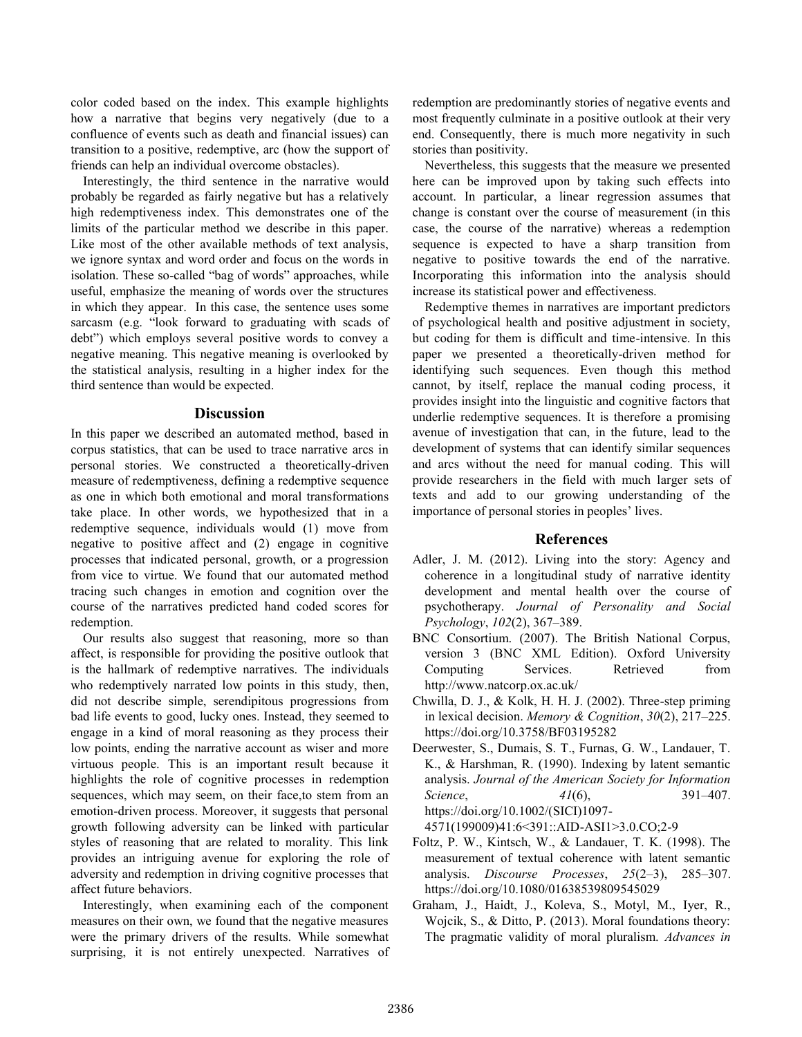color coded based on the index. This example highlights how a narrative that begins very negatively (due to a confluence of events such as death and financial issues) can transition to a positive, redemptive, arc (how the support of friends can help an individual overcome obstacles).

Interestingly, the third sentence in the narrative would probably be regarded as fairly negative but has a relatively high redemptiveness index. This demonstrates one of the limits of the particular method we describe in this paper. Like most of the other available methods of text analysis, we ignore syntax and word order and focus on the words in isolation. These so-called "bag of words" approaches, while useful, emphasize the meaning of words over the structures in which they appear. In this case, the sentence uses some sarcasm (e.g. "look forward to graduating with scads of debt") which employs several positive words to convey a negative meaning. This negative meaning is overlooked by the statistical analysis, resulting in a higher index for the third sentence than would be expected.

### **Discussion**

In this paper we described an automated method, based in corpus statistics, that can be used to trace narrative arcs in personal stories. We constructed a theoretically-driven measure of redemptiveness, defining a redemptive sequence as one in which both emotional and moral transformations take place. In other words, we hypothesized that in a redemptive sequence, individuals would (1) move from negative to positive affect and (2) engage in cognitive processes that indicated personal, growth, or a progression from vice to virtue. We found that our automated method tracing such changes in emotion and cognition over the course of the narratives predicted hand coded scores for redemption.

Our results also suggest that reasoning, more so than affect, is responsible for providing the positive outlook that is the hallmark of redemptive narratives. The individuals who redemptively narrated low points in this study, then, did not describe simple, serendipitous progressions from bad life events to good, lucky ones. Instead, they seemed to engage in a kind of moral reasoning as they process their low points, ending the narrative account as wiser and more virtuous people. This is an important result because it highlights the role of cognitive processes in redemption sequences, which may seem, on their face,to stem from an emotion-driven process. Moreover, it suggests that personal growth following adversity can be linked with particular styles of reasoning that are related to morality. This link provides an intriguing avenue for exploring the role of adversity and redemption in driving cognitive processes that affect future behaviors.

Interestingly, when examining each of the component measures on their own, we found that the negative measures were the primary drivers of the results. While somewhat surprising, it is not entirely unexpected. Narratives of redemption are predominantly stories of negative events and most frequently culminate in a positive outlook at their very end. Consequently, there is much more negativity in such stories than positivity.

Nevertheless, this suggests that the measure we presented here can be improved upon by taking such effects into account. In particular, a linear regression assumes that change is constant over the course of measurement (in this case, the course of the narrative) whereas a redemption sequence is expected to have a sharp transition from negative to positive towards the end of the narrative. Incorporating this information into the analysis should increase its statistical power and effectiveness.

Redemptive themes in narratives are important predictors of psychological health and positive adjustment in society, but coding for them is difficult and time-intensive. In this paper we presented a theoretically-driven method for identifying such sequences. Even though this method cannot, by itself, replace the manual coding process, it provides insight into the linguistic and cognitive factors that underlie redemptive sequences. It is therefore a promising avenue of investigation that can, in the future, lead to the development of systems that can identify similar sequences and arcs without the need for manual coding. This will provide researchers in the field with much larger sets of texts and add to our growing understanding of the importance of personal stories in peoples' lives.

### **References**

- Adler, J. M. (2012). Living into the story: Agency and coherence in a longitudinal study of narrative identity development and mental health over the course of psychotherapy. *Journal of Personality and Social Psychology*, *102*(2), 367–389.
- BNC Consortium. (2007). The British National Corpus, version 3 (BNC XML Edition). Oxford University Computing Services. Retrieved from http://www.natcorp.ox.ac.uk/
- Chwilla, D. J., & Kolk, H. H. J. (2002). Three-step priming in lexical decision. *Memory & Cognition*, *30*(2), 217–225. https://doi.org/10.3758/BF03195282
- Deerwester, S., Dumais, S. T., Furnas, G. W., Landauer, T. K., & Harshman, R. (1990). Indexing by latent semantic analysis. *Journal of the American Society for Information Science*, *41*(6), 391–407. https://doi.org/10.1002/(SICI)1097-

4571(199009)41:6<391::AID-ASI1>3.0.CO;2-9

- Foltz, P. W., Kintsch, W., & Landauer, T. K. (1998). The measurement of textual coherence with latent semantic analysis. *Discourse Processes*, *25*(2–3), 285–307. https://doi.org/10.1080/01638539809545029
- Graham, J., Haidt, J., Koleva, S., Motyl, M., Iyer, R., Wojcik, S., & Ditto, P. (2013). Moral foundations theory: The pragmatic validity of moral pluralism. *Advances in*